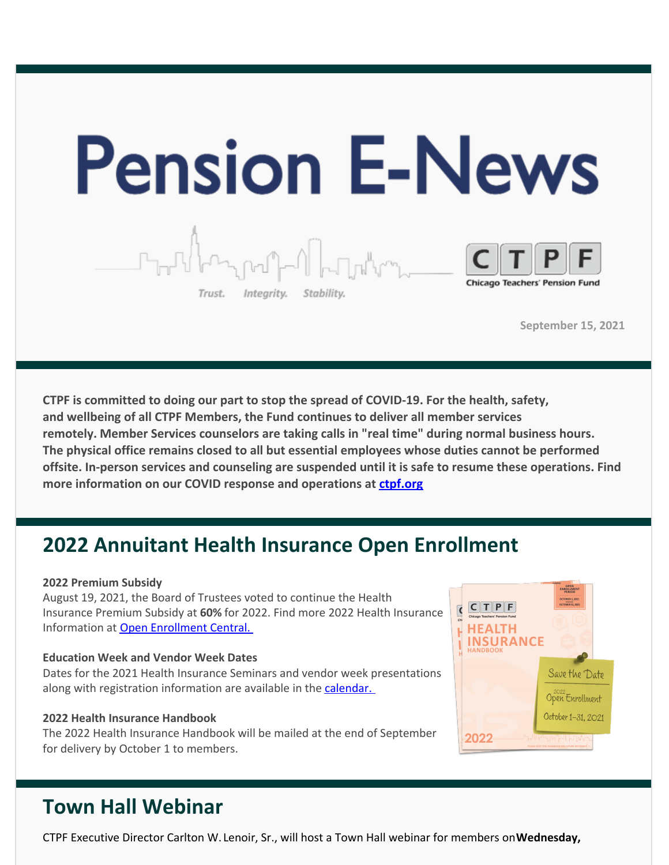

**September 15, 2021**

**CTPF is committed to doing our part to stop the spread of COVID-19. For the health, safety, and wellbeing of all CTPF Members, the Fund continues to deliver all member services remotely. Member Services counselors are taking calls in "real time" during normal business hours. The physical office remains closed to all but essential employees whose duties cannot be performed offsite. In-person services and counseling are suspended until it is safe to resume these operations. Find more information on our COVID response and operations at [ctpf.org](http://r20.rs6.net/tn.jsp?f=001Oq0TM6CVsKr16mBIJWQ5Txgxq1D0DQ71XepjiVhvp5Bdir-9OjtYv9MCfTY-KwpYjVb6SxMJypz0cChqvT6whuCO4g6nLQqMvTAN2qArVVU9u5IQZydfzR609HYsUT1IH_lii9-uN3Tm0nucIEQNcuRyb0g9f54_&c=&ch=)**

## **2022 Annuitant Health Insurance Open Enrollment**

#### **2022 Premium Subsidy**

August 19, 2021, the Board of Trustees voted to continue the Health Insurance Premium Subsidy at **60%** for 2022. Find more 2022 Health Insurance Information at Open [Enrollment](http://r20.rs6.net/tn.jsp?f=001Oq0TM6CVsKr16mBIJWQ5Txgxq1D0DQ71XepjiVhvp5Bdir-9OjtYvzD8jdBCbGS7-drItsJuZLUFNJUxhyw8H0ybRJd_MTmGzLVmbRm3PPTbU7crl8V_ejyUXSMN4ZlqYQr2TYq5Phfh1DFv9rigsiTYYYcKzCKBeUYttbpOny3CbTtgwEsdwGJtz4qUlyY35gq5rDBqKZmsTchnOpkRtRTDN3oK_HDsm214zNnBjMuUAbOvhzxcIg==&c=&ch=) Central.

#### **Education Week and Vendor Week Dates**

Dates for the 2021 Health Insurance Seminars and vendor week presentations along with registration information are available in the [calendar.](http://r20.rs6.net/tn.jsp?f=001Oq0TM6CVsKr16mBIJWQ5Txgxq1D0DQ71XepjiVhvp5Bdir-9OjtYvzSRUbLmKvFYWwq7PL3Q2PyplQO9in7dJa-0V7cuylsU1nVA9Ev0kN4OTpo2pZpxddN6Rb59HdUDwg-AlPU8EQ3tM1QnX4ct84TVXRKi18CQSeWOajJxHjnmVqxNIH3kGniRyQqJd_7RUaVOn0ZI8L8=&c=&ch=)

#### **2022 Health Insurance Handbook**

The 2022 Health Insurance Handbook will be mailed at the end of September for delivery by October 1 to members.

### OPEN<br>INROLLME  $CTT$  $P$  $F$  $\overline{\mathbf{C}}$ **HEALTH INSURANCE** Save the Date Open Enrollment October 1-31, 2021 2022

# **Town Hall Webinar**

CTPF Executive Director Carlton W. Lenoir, Sr., will host a Town Hall webinar for members on**Wednesday,**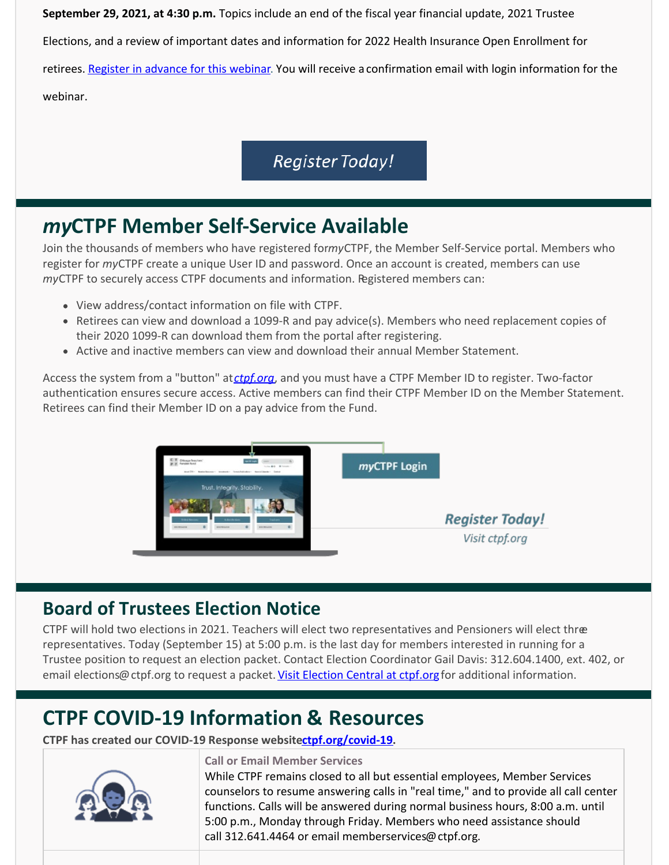**September 29, 2021, at 4:30 p.m.** Topics include an end of the fiscal year financial update, 2021 Trustee Elections, and a review of important dates and information for 2022 Health Insurance Open Enrollment for retirees. Register in [advance](http://r20.rs6.net/tn.jsp?f=001Oq0TM6CVsKr16mBIJWQ5Txgxq1D0DQ71XepjiVhvp5Bdir-9OjtYv19Vy9VTC7Kin1zm7ofrzBkug5btgIKf0xCZQqVmo08C7au0C4a5CrIa1XG77-ambcMG8n4JQeLLWIqP59rjRTFDqwJoh3pdRXPTf2Cg8-G32UaCGldvwJ2OPVzGCGP40LMXbE7UwLSWnZqpihIhn83pMdksDDBHC-J_pV8yaDWWoVBrDKQQtHw=&c=&ch=) for this webinar. You will receive a confirmation email with login information for the webinar.

## **Register Today!**

# *my***CTPF Member Self-Service Available**

Join the thousands of members who have registered for*my*CTPF, the Member Self-Service portal. Members who register for *my*CTPF create a unique User ID and password. Once an account is created, members can use *my*CTPF to securely access CTPF documents and information. Registered members can:

- View address/contact information on file with CTPF.
- Retirees can view and download a 1099-R and pay advice(s). Members who need replacement copies of their 2020 1099-R can download them from the portal after registering.
- Active and inactive members can view and download their annual Member Statement.

Access the system from a "button" at*[ctpf.org](http://r20.rs6.net/tn.jsp?f=001Oq0TM6CVsKr16mBIJWQ5Txgxq1D0DQ71XepjiVhvp5Bdir-9OjtYv9MCfTY-KwpYjVb6SxMJypz0cChqvT6whuCO4g6nLQqMvTAN2qArVVU9u5IQZydfzR609HYsUT1IH_lii9-uN3Tm0nucIEQNcuRyb0g9f54_&c=&ch=)*, and you must have a CTPF Member ID to register. Two-factor authentication ensures secure access. Active members can find their CTPF Member ID on the Member Statement. Retirees can find their Member ID on a pay advice from the Fund.



## **Board of Trustees Election Notice**

CTPF will hold two elections in 2021. Teachers will elect two representatives and Pensioners will elect three representatives. Today (September 15) at 5:00 p.m. is the last day for members interested in running for a Trustee position to request an election packet. Contact Election Coordinator Gail Davis: 312.604.1400, ext. 402, or email elections@ctpf.org to request a packet. Visit [Election](http://r20.rs6.net/tn.jsp?f=001Oq0TM6CVsKr16mBIJWQ5Txgxq1D0DQ71XepjiVhvp5Bdir-9OjtYv8-xEqhMTCVQVpCGSy3YpZTxOB6sT8iH7b2y0VAaeT4RSmkLOfrvc7swejAeizgCX3cA51xjKSzEdhPyJM5yCk8IlRnK1l2I0OkB3QRvgM_perOszSqDK5TSYBXxRqTajQlSSubTj6TXtrc1cgtpRYpps8wRvatN3A==&c=&ch=) Central at ctpf.org for additional information.

# **CTPF COVID-19 Information & Resources**

**CTPF has created our COVID-19 Response websit[ectpf.org/covid-19](http://r20.rs6.net/tn.jsp?f=001Oq0TM6CVsKr16mBIJWQ5Txgxq1D0DQ71XepjiVhvp5Bdir-9OjtYvz06ooKm8O8RI0oUNHboR78fAe5KqXs86gsIXDwhp1qQAIcL2yyIHqOhUkcdV2eIyXb3bTfU994shQ4fcFkbf_axgGBuKZP2z0EwYknTG7PMMXs9mMsCgCc=&c=&ch=).**



### **Call or Email Member Services**

While CTPF remains closed to all but essential employees, Member Services counselors to resume answering calls in "real time," and to provide all call center functions. Calls will be answered during normal business hours, 8:00 a.m. until 5:00 p.m., Monday through Friday. Members who need assistance should call 312.641.4464 or email memberservices@ctpf.org.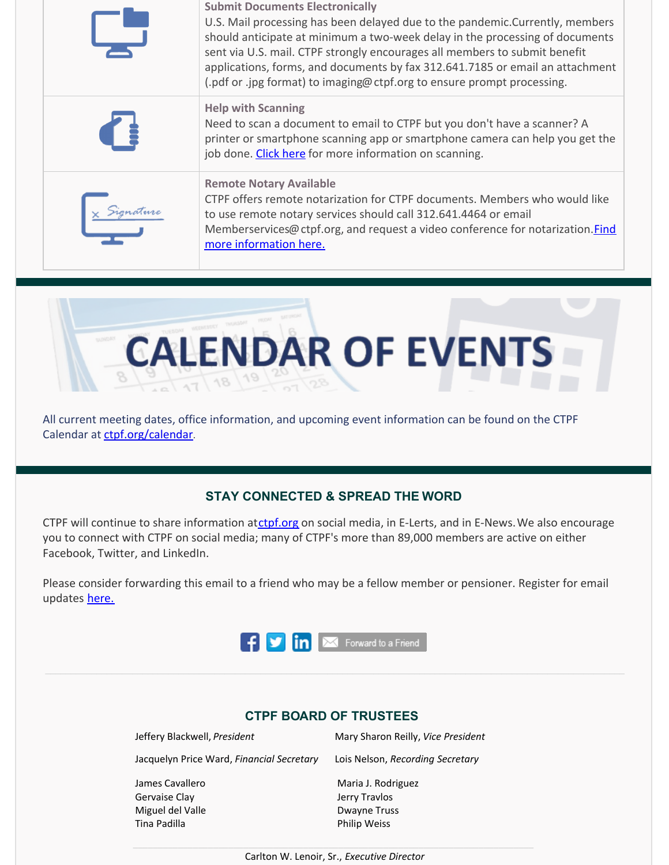| <b>Submit Documents Electronically</b><br>U.S. Mail processing has been delayed due to the pandemic. Currently, members<br>should anticipate at minimum a two-week delay in the processing of documents<br>sent via U.S. mail. CTPF strongly encourages all members to submit benefit<br>applications, forms, and documents by fax 312.641.7185 or email an attachment<br>(.pdf or .jpg format) to imaging@ ctpf.org to ensure prompt processing. |
|---------------------------------------------------------------------------------------------------------------------------------------------------------------------------------------------------------------------------------------------------------------------------------------------------------------------------------------------------------------------------------------------------------------------------------------------------|
| <b>Help with Scanning</b><br>Need to scan a document to email to CTPF but you don't have a scanner? A<br>printer or smartphone scanning app or smartphone camera can help you get the<br>job done. Click here for more information on scanning.                                                                                                                                                                                                   |
| <b>Remote Notary Available</b><br>CTPF offers remote notarization for CTPF documents. Members who would like<br>to use remote notary services should call 312.641.4464 or email<br>Memberservices@ctpf.org, and request a video conference for notarization.Find<br>more information here.                                                                                                                                                        |



All current meeting dates, office information, and upcoming event information can be found on the CTPF Calendar at [ctpf.org/calendar](http://r20.rs6.net/tn.jsp?f=001Oq0TM6CVsKr16mBIJWQ5Txgxq1D0DQ71XepjiVhvp5Bdir-9OjtYv6FG-VMR57m_QoKzcuSBN6Xkhu3HFZKLXpt-YU2JdWvEi6jfgDGOZjh28Mv7CNaXmyogmizsY-9PsyC-t0JVTtlCeb6VmZGYiNdGP0hgk5PnbTo6dtD0KIJk39PqxcB1NA==&c=&ch=).

### **STAY CONNECTED & SPREAD THE WORD**

CTPF will continue to share information at[ctpf.org](http://r20.rs6.net/tn.jsp?f=001Oq0TM6CVsKr16mBIJWQ5Txgxq1D0DQ71XepjiVhvp5Bdir-9OjtYv4LvxhiMPX2GMPhwQfjmGHSdxSfrYvZaxDcty5YgMIa2e4clI6Ts6waNsooyMHn65iLHXWPKwOOd30ezxEKSRSqFlYqdRQfouIjIJQZcg43n&c=&ch=) on social media, in E-Lerts, and in E-News. We also encourage you to connect with CTPF on social media; many of CTPF's more than 89,000 members are active on either Facebook, Twitter, and LinkedIn.

Please consider forwarding this email to a friend who may be a fellow member or pensioner. Register for email updates [here.](http://r20.rs6.net/tn.jsp?f=001Oq0TM6CVsKr16mBIJWQ5Txgxq1D0DQ71XepjiVhvp5Bdir-9OjtYv2alLWRjItSi41VOVQYLBbbOx2uSotrg_jsUewXaontdBcCweMzZygP9UW20T1cB8I1Rst8sHfd-uuqzKP5Qb8vmEYpFv8RFdtoJb4huFB7xnhLlHOpsZRE=&c=&ch=)



### **CTPF BOARD OF TRUSTEES**

| Jeffery Blackwell, President              | Mary Sharon Reilly, Vice President  |
|-------------------------------------------|-------------------------------------|
| Jacquelyn Price Ward, Financial Secretary | Lois Nelson, Recording Secretary    |
| James Cavallero<br>Gervaise Clay          | Maria J. Rodriguez<br>Jerry Travlos |
| Miguel del Valle                          | <b>Dwayne Truss</b>                 |
| Tina Padilla                              | <b>Philip Weiss</b>                 |

Carlton W. Lenoir, Sr., *Executive Director*